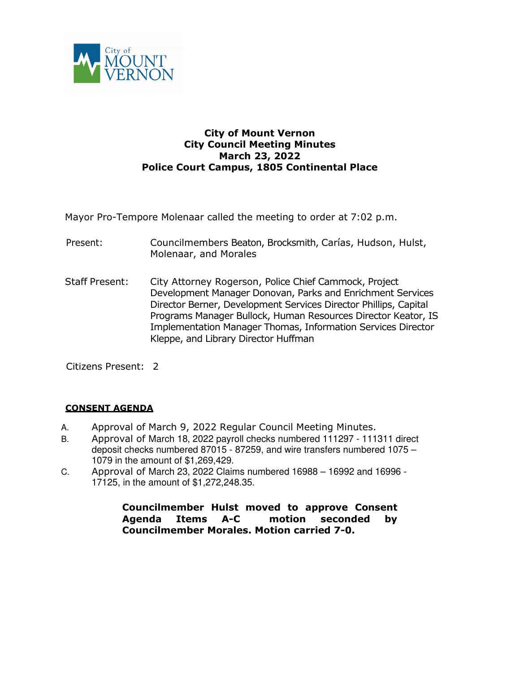

# **City of Mount Vernon City Council Meeting Minutes March 23, 2022 Police Court Campus, 1805 Continental Place**

Mayor Pro-Tempore Molenaar called the meeting to order at 7:02 p.m.

- Present: Councilmembers Beaton, Brocksmith, Carías, Hudson, Hulst, Molenaar, and Morales
- Staff Present: City Attorney Rogerson, Police Chief Cammock, Project Development Manager Donovan, Parks and Enrichment Services Director Berner, Development Services Director Phillips, Capital Programs Manager Bullock, Human Resources Director Keator, IS Implementation Manager Thomas, Information Services Director Kleppe, and Library Director Huffman

Citizens Present: 2

### **CONSENT AGENDA**

- A. Approval of March 9, 2022 Regular Council Meeting Minutes.
- B. Approval of March 18, 2022 payroll checks numbered 111297 111311 direct deposit checks numbered 87015 - 87259, and wire transfers numbered 1075 – 1079 in the amount of \$1,269,429.
- C. Approval of March 23, 2022 Claims numbered 16988 16992 and 16996 17125, in the amount of \$1,272,248.35.

**Councilmember Hulst moved to approve Consent Agenda Items A-C motion seconded by Councilmember Morales. Motion carried 7-0.**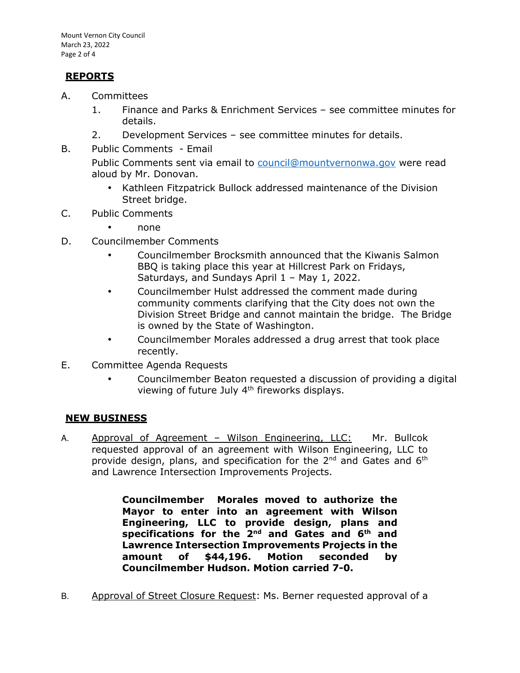# **REPORTS**

- A. Committees
	- 1. Finance and Parks & Enrichment Services see committee minutes for details.
	- 2. Development Services see committee minutes for details.
- B. Public Comments Email

Public Comments sent via email to council@mountvernonwa.gov were read aloud by Mr. Donovan.

- Kathleen Fitzpatrick Bullock addressed maintenance of the Division Street bridge.
- C. Public Comments
	- none
- D. Councilmember Comments
	- Councilmember Brocksmith announced that the Kiwanis Salmon BBQ is taking place this year at Hillcrest Park on Fridays, Saturdays, and Sundays April 1 – May 1, 2022.
	- Councilmember Hulst addressed the comment made during community comments clarifying that the City does not own the Division Street Bridge and cannot maintain the bridge. The Bridge is owned by the State of Washington.
	- Councilmember Morales addressed a drug arrest that took place recently.
- E. Committee Agenda Requests
	- Councilmember Beaton requested a discussion of providing a digital viewing of future July 4<sup>th</sup> fireworks displays.

# **NEW BUSINESS**

A. Approval of Agreement - Wilson Engineering, LLC: Mr. Bullcok requested approval of an agreement with Wilson Engineering, LLC to provide design, plans, and specification for the 2<sup>nd</sup> and Gates and 6<sup>th</sup> and Lawrence Intersection Improvements Projects.

> **Councilmember Morales moved to authorize the Mayor to enter into an agreement with Wilson Engineering, LLC to provide design, plans and specifications for the 2nd and Gates and 6th and Lawrence Intersection Improvements Projects in the amount of \$44,196. Motion seconded by Councilmember Hudson. Motion carried 7-0.**

B. Approval of Street Closure Request: Ms. Berner requested approval of a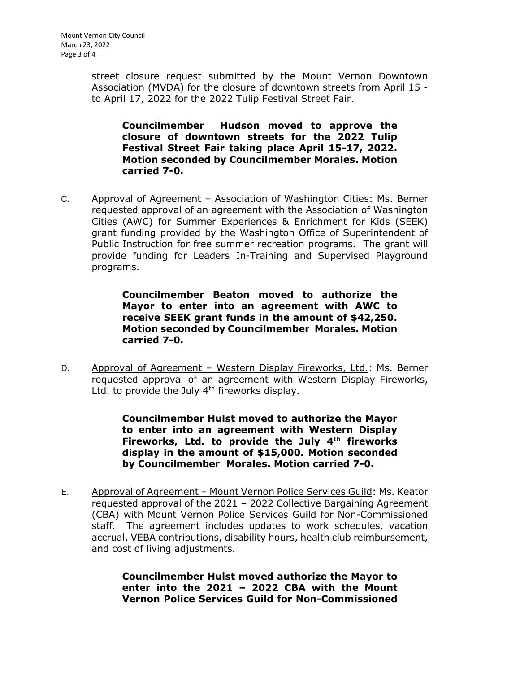street closure request submitted by the Mount Vernon Downtown Association (MVDA) for the closure of downtown streets from April 15 to April 17, 2022 for the 2022 Tulip Festival Street Fair.

**Councilmember Hudson moved to approve the closure of downtown streets for the 2022 Tulip Festival Street Fair taking place April 15-17, 2022. Motion seconded by Councilmember Morales. Motion carried 7-0.** 

C. Approval of Agreement – Association of Washington Cities: Ms. Berner requested approval of an agreement with the Association of Washington Cities (AWC) for Summer Experiences & Enrichment for Kids (SEEK) grant funding provided by the Washington Office of Superintendent of Public Instruction for free summer recreation programs. The grant will provide funding for Leaders In-Training and Supervised Playground programs.

> **Councilmember Beaton moved to authorize the Mayor to enter into an agreement with AWC to receive SEEK grant funds in the amount of \$42,250. Motion seconded by Councilmember Morales. Motion carried 7-0.**

D. Approval of Agreement – Western Display Fireworks, Ltd.: Ms. Berner requested approval of an agreement with Western Display Fireworks, Ltd. to provide the July  $4<sup>th</sup>$  fireworks display.

> **Councilmember Hulst moved to authorize the Mayor to enter into an agreement with Western Display Fireworks, Ltd. to provide the July 4th fireworks display in the amount of \$15,000. Motion seconded by Councilmember Morales. Motion carried 7-0.**

E. Approval of Agreement – Mount Vernon Police Services Guild: Ms. Keator requested approval of the 2021 – 2022 Collective Bargaining Agreement (CBA) with Mount Vernon Police Services Guild for Non-Commissioned staff. The agreement includes updates to work schedules, vacation accrual, VEBA contributions, disability hours, health club reimbursement, and cost of living adjustments.

> **Councilmember Hulst moved authorize the Mayor to enter into the 2021 – 2022 CBA with the Mount Vernon Police Services Guild for Non-Commissioned**